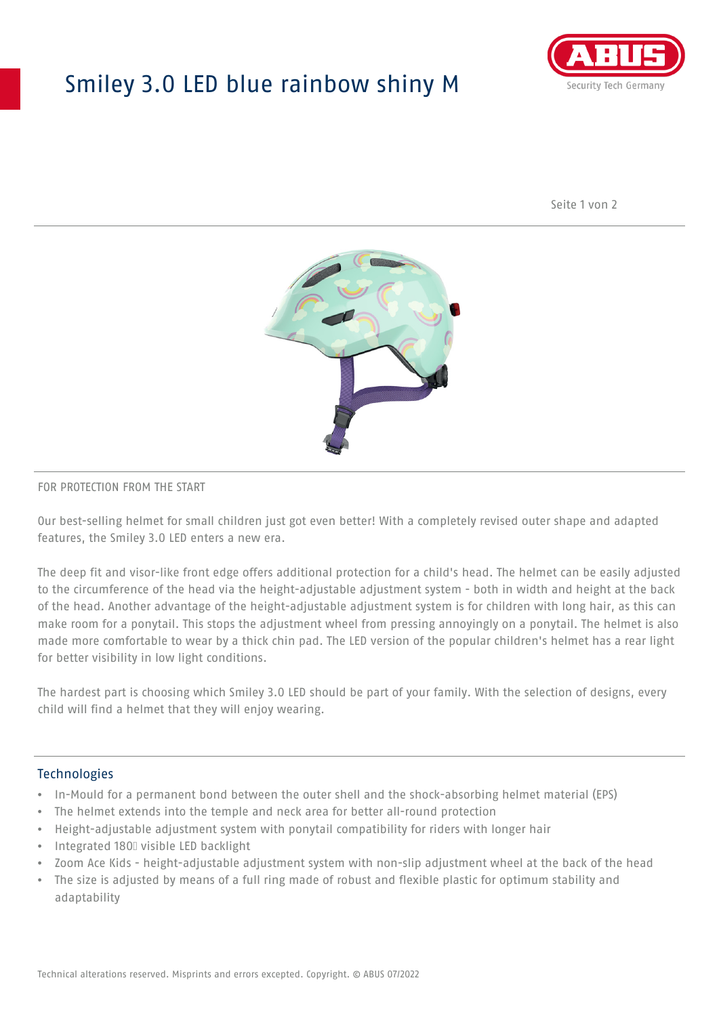## Smiley 3.0 LED blue rainbow shiny M



Seite 1 von 2



#### FOR PROTECTION FROM THE START

Our best-selling helmet for small children just got even better! With a completely revised outer shape and adapted features, the Smiley 3.0 LED enters a new era.

The deep fit and visor-like front edge offers additional protection for a child's head. The helmet can be easily adjusted to the circumference of the head via the height-adjustable adjustment system - both in width and height at the back of the head. Another advantage of the height-adjustable adjustment system is for children with long hair, as this can make room for a ponytail. This stops the adjustment wheel from pressing annoyingly on a ponytail. The helmet is also made more comfortable to wear by a thick chin pad. The LED version of the popular children's helmet has a rear light for better visibility in low light conditions.

The hardest part is choosing which Smiley 3.0 LED should be part of your family. With the selection of designs, every child will find a helmet that they will enjoy wearing.

#### **Technologies**

- In-Mould for a permanent bond between the outer shell and the shock-absorbing helmet material (EPS)
- The helmet extends into the temple and neck area for better all-round protection
- Height-adjustable adjustment system with ponytail compatibility for riders with longer hair
- Integrated 180⁰ visible LED backlight
- Zoom Ace Kids height-adjustable adjustment system with non-slip adjustment wheel at the back of the head
- The size is adjusted by means of a full ring made of robust and flexible plastic for optimum stability and adaptability